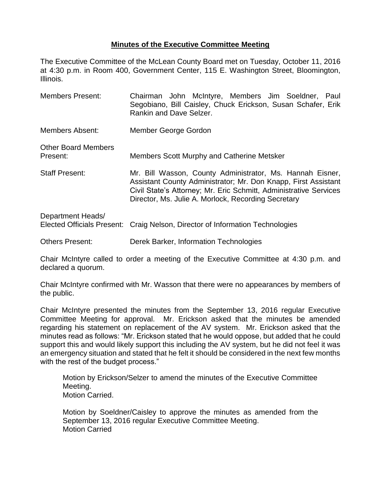## **Minutes of the Executive Committee Meeting**

The Executive Committee of the McLean County Board met on Tuesday, October 11, 2016 at 4:30 p.m. in Room 400, Government Center, 115 E. Washington Street, Bloomington, Illinois.

Members Present: Chairman John McIntyre, Members Jim Soeldner, Paul Segobiano, Bill Caisley, Chuck Erickson, Susan Schafer, Erik Rankin and Dave Selzer. Members Absent: Member George Gordon Other Board Members Present: Members Scott Murphy and Catherine Metsker Staff Present: Mr. Bill Wasson, County Administrator, Ms. Hannah Eisner, Assistant County Administrator; Mr. Don Knapp, First Assistant Civil State's Attorney; Mr. Eric Schmitt, Administrative Services Director, Ms. Julie A. Morlock, Recording Secretary

| Department Heads/ |                                                                               |
|-------------------|-------------------------------------------------------------------------------|
|                   | Elected Officials Present: Craig Nelson, Director of Information Technologies |
|                   |                                                                               |

Others Present: Derek Barker, Information Technologies

Chair McIntyre called to order a meeting of the Executive Committee at 4:30 p.m. and declared a quorum.

Chair McIntyre confirmed with Mr. Wasson that there were no appearances by members of the public.

Chair McIntyre presented the minutes from the September 13, 2016 regular Executive Committee Meeting for approval. Mr. Erickson asked that the minutes be amended regarding his statement on replacement of the AV system. Mr. Erickson asked that the minutes read as follows: "Mr. Erickson stated that he would oppose, but added that he could support this and would likely support this including the AV system, but he did not feel it was an emergency situation and stated that he felt it should be considered in the next few months with the rest of the budget process."

Motion by Erickson/Selzer to amend the minutes of the Executive Committee Meeting. Motion Carried.

Motion by Soeldner/Caisley to approve the minutes as amended from the September 13, 2016 regular Executive Committee Meeting. Motion Carried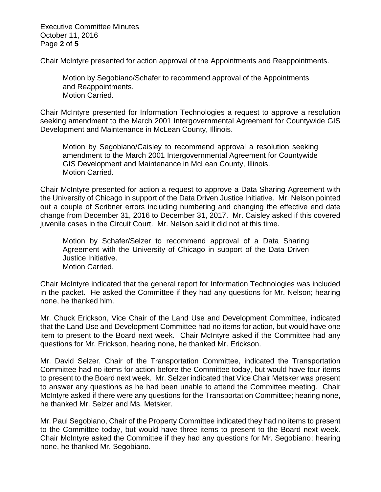Executive Committee Minutes October 11, 2016 Page **2** of **5**

Chair McIntyre presented for action approval of the Appointments and Reappointments.

Motion by Segobiano/Schafer to recommend approval of the Appointments and Reappointments. Motion Carried.

Chair McIntyre presented for Information Technologies a request to approve a resolution seeking amendment to the March 2001 Intergovernmental Agreement for Countywide GIS Development and Maintenance in McLean County, Illinois.

Motion by Segobiano/Caisley to recommend approval a resolution seeking amendment to the March 2001 Intergovernmental Agreement for Countywide GIS Development and Maintenance in McLean County, Illinois. Motion Carried.

Chair McIntyre presented for action a request to approve a Data Sharing Agreement with the University of Chicago in support of the Data Driven Justice Initiative. Mr. Nelson pointed out a couple of Scribner errors including numbering and changing the effective end date change from December 31, 2016 to December 31, 2017. Mr. Caisley asked if this covered juvenile cases in the Circuit Court. Mr. Nelson said it did not at this time.

Motion by Schafer/Selzer to recommend approval of a Data Sharing Agreement with the University of Chicago in support of the Data Driven Justice Initiative. Motion Carried.

Chair McIntyre indicated that the general report for Information Technologies was included in the packet. He asked the Committee if they had any questions for Mr. Nelson; hearing none, he thanked him.

Mr. Chuck Erickson, Vice Chair of the Land Use and Development Committee, indicated that the Land Use and Development Committee had no items for action, but would have one item to present to the Board next week. Chair McIntyre asked if the Committee had any questions for Mr. Erickson, hearing none, he thanked Mr. Erickson.

Mr. David Selzer, Chair of the Transportation Committee, indicated the Transportation Committee had no items for action before the Committee today, but would have four items to present to the Board next week. Mr. Selzer indicated that Vice Chair Metsker was present to answer any questions as he had been unable to attend the Committee meeting. Chair McIntyre asked if there were any questions for the Transportation Committee; hearing none, he thanked Mr. Selzer and Ms. Metsker.

Mr. Paul Segobiano, Chair of the Property Committee indicated they had no items to present to the Committee today, but would have three items to present to the Board next week. Chair McIntyre asked the Committee if they had any questions for Mr. Segobiano; hearing none, he thanked Mr. Segobiano.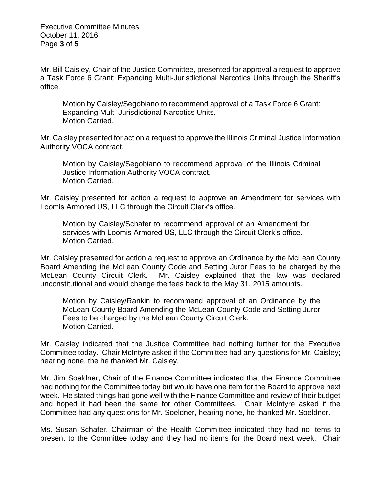Executive Committee Minutes October 11, 2016 Page **3** of **5**

Mr. Bill Caisley, Chair of the Justice Committee, presented for approval a request to approve a Task Force 6 Grant: Expanding Multi-Jurisdictional Narcotics Units through the Sheriff's office.

Motion by Caisley/Segobiano to recommend approval of a Task Force 6 Grant: Expanding Multi-Jurisdictional Narcotics Units. Motion Carried.

Mr. Caisley presented for action a request to approve the Illinois Criminal Justice Information Authority VOCA contract.

Motion by Caisley/Segobiano to recommend approval of the Illinois Criminal Justice Information Authority VOCA contract. Motion Carried.

Mr. Caisley presented for action a request to approve an Amendment for services with Loomis Armored US, LLC through the Circuit Clerk's office.

Motion by Caisley/Schafer to recommend approval of an Amendment for services with Loomis Armored US, LLC through the Circuit Clerk's office. Motion Carried.

Mr. Caisley presented for action a request to approve an Ordinance by the McLean County Board Amending the McLean County Code and Setting Juror Fees to be charged by the McLean County Circuit Clerk. Mr. Caisley explained that the law was declared unconstitutional and would change the fees back to the May 31, 2015 amounts.

Motion by Caisley/Rankin to recommend approval of an Ordinance by the McLean County Board Amending the McLean County Code and Setting Juror Fees to be charged by the McLean County Circuit Clerk. Motion Carried.

Mr. Caisley indicated that the Justice Committee had nothing further for the Executive Committee today. Chair McIntyre asked if the Committee had any questions for Mr. Caisley; hearing none, the he thanked Mr. Caisley.

Mr. Jim Soeldner, Chair of the Finance Committee indicated that the Finance Committee had nothing for the Committee today but would have one item for the Board to approve next week. He stated things had gone well with the Finance Committee and review of their budget and hoped it had been the same for other Committees. Chair McIntyre asked if the Committee had any questions for Mr. Soeldner, hearing none, he thanked Mr. Soeldner.

Ms. Susan Schafer, Chairman of the Health Committee indicated they had no items to present to the Committee today and they had no items for the Board next week. Chair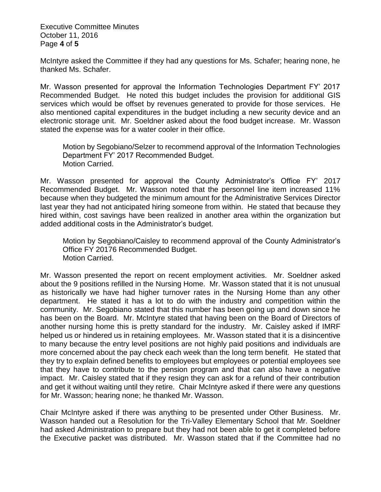Executive Committee Minutes October 11, 2016 Page **4** of **5**

McIntyre asked the Committee if they had any questions for Ms. Schafer; hearing none, he thanked Ms. Schafer.

Mr. Wasson presented for approval the Information Technologies Department FY' 2017 Recommended Budget. He noted this budget includes the provision for additional GIS services which would be offset by revenues generated to provide for those services. He also mentioned capital expenditures in the budget including a new security device and an electronic storage unit. Mr. Soeldner asked about the food budget increase. Mr. Wasson stated the expense was for a water cooler in their office.

Motion by Segobiano/Selzer to recommend approval of the Information Technologies Department FY' 2017 Recommended Budget. Motion Carried.

Mr. Wasson presented for approval the County Administrator's Office FY' 2017 Recommended Budget. Mr. Wasson noted that the personnel line item increased 11% because when they budgeted the minimum amount for the Administrative Services Director last year they had not anticipated hiring someone from within. He stated that because they hired within, cost savings have been realized in another area within the organization but added additional costs in the Administrator's budget.

Motion by Segobiano/Caisley to recommend approval of the County Administrator's Office FY 20176 Recommended Budget. Motion Carried.

Mr. Wasson presented the report on recent employment activities. Mr. Soeldner asked about the 9 positions refilled in the Nursing Home. Mr. Wasson stated that it is not unusual as historically we have had higher turnover rates in the Nursing Home than any other department. He stated it has a lot to do with the industry and competition within the community. Mr. Segobiano stated that this number has been going up and down since he has been on the Board. Mr. McIntyre stated that having been on the Board of Directors of another nursing home this is pretty standard for the industry. Mr. Caisley asked if IMRF helped us or hindered us in retaining employees. Mr. Wasson stated that it is a disincentive to many because the entry level positions are not highly paid positions and individuals are more concerned about the pay check each week than the long term benefit. He stated that they try to explain defined benefits to employees but employees or potential employees see that they have to contribute to the pension program and that can also have a negative impact. Mr. Caisley stated that if they resign they can ask for a refund of their contribution and get it without waiting until they retire. Chair McIntyre asked if there were any questions for Mr. Wasson; hearing none; he thanked Mr. Wasson.

Chair McIntyre asked if there was anything to be presented under Other Business. Mr. Wasson handed out a Resolution for the Tri-Valley Elementary School that Mr. Soeldner had asked Administration to prepare but they had not been able to get it completed before the Executive packet was distributed. Mr. Wasson stated that if the Committee had no